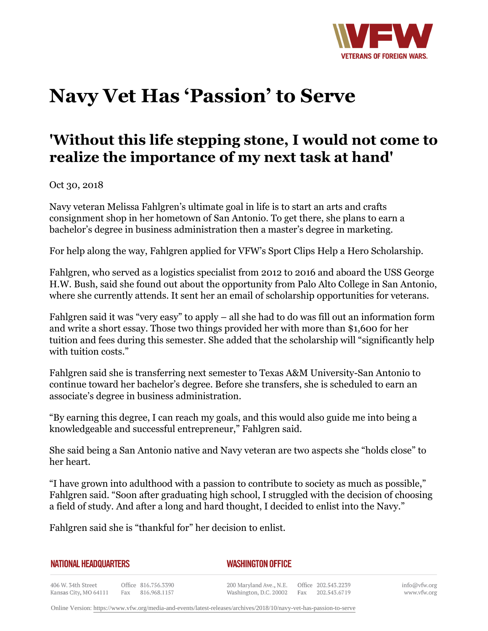

## **Navy Vet Has 'Passion' to Serve**

## **'Without this life stepping stone, I would not come to realize the importance of my next task at hand'**

Oct 30, 2018

Navy veteran Melissa Fahlgren's ultimate goal in life is to start an arts and crafts consignment shop in her hometown of San Antonio. To get there, she plans to earn a bachelor's degree in business administration then a master's degree in marketing.

For help along the way, Fahlgren applied for VFW's Sport Clips Help a Hero Scholarship.

Fahlgren, who served as a logistics specialist from 2012 to 2016 and aboard the USS George H.W. Bush, said she found out about the opportunity from Palo Alto College in San Antonio, where she currently attends. It sent her an email of scholarship opportunities for veterans.

Fahlgren said it was "very easy" to apply – all she had to do was fill out an information form and write a short essay. Those two things provided her with more than \$1,600 for her tuition and fees during this semester. She added that the scholarship will "significantly help with tuition costs."

Fahlgren said she is transferring next semester to Texas A&M University-San Antonio to continue toward her bachelor's degree. Before she transfers, she is scheduled to earn an associate's degree in business administration.

"By earning this degree, I can reach my goals, and this would also guide me into being a knowledgeable and successful entrepreneur," Fahlgren said.

She said being a San Antonio native and Navy veteran are two aspects she "holds close" to her heart.

"I have grown into adulthood with a passion to contribute to society as much as possible," Fahlgren said. "Soon after graduating high school, I struggled with the decision of choosing a field of study. And after a long and hard thought, I decided to enlist into the Navy."

Fahlgren said she is "thankful for" her decision to enlist.

| NATIONAL HEADQUARTERS                       |  |                                         | <b>WASHINGTON OFFICE</b>                          |  |                                         |  |
|---------------------------------------------|--|-----------------------------------------|---------------------------------------------------|--|-----------------------------------------|--|
| 406 W. 34th Street<br>Kansas City, MO 64111 |  | Office 816.756.3390<br>Fax 816,968,1157 | 200 Maryland Ave., N.E.<br>Washington, D.C. 20002 |  | Office 202.543.2239<br>Fax 202.543.6719 |  |

info@vfw.org www.vfw.org

Online Version:<https://www.vfw.org/media-and-events/latest-releases/archives/2018/10/navy-vet-has-passion-to-serve>